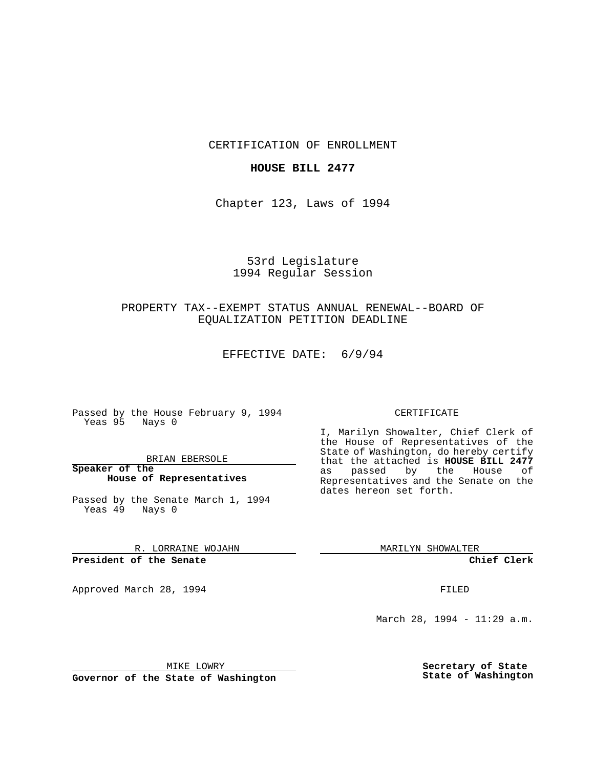CERTIFICATION OF ENROLLMENT

### **HOUSE BILL 2477**

Chapter 123, Laws of 1994

# 53rd Legislature 1994 Regular Session

## PROPERTY TAX--EXEMPT STATUS ANNUAL RENEWAL--BOARD OF EQUALIZATION PETITION DEADLINE

EFFECTIVE DATE: 6/9/94

 $\mathcal{L}^{\text{max}}$ 

Passed by the House February 9, 1994 Yeas 95 Nays 0

BRIAN EBERSOLE

**Speaker of the House of Representatives**

Passed by the Senate March 1, 1994 Yeas 49 Nays 0

R. LORRAINE WOJAHN

**President of the Senate**

Approved March 28, 1994 **FILED** 

#### CERTIFICATE

I, Marilyn Showalter, Chief Clerk of the House of Representatives of the State of Washington, do hereby certify that the attached is **HOUSE BILL 2477** as passed by the House of Representatives and the Senate on the dates hereon set forth.

MARILYN SHOWALTER

**Chief Clerk**

March 28, 1994 - 11:29 a.m.

MIKE LOWRY

**Governor of the State of Washington**

**Secretary of State State of Washington**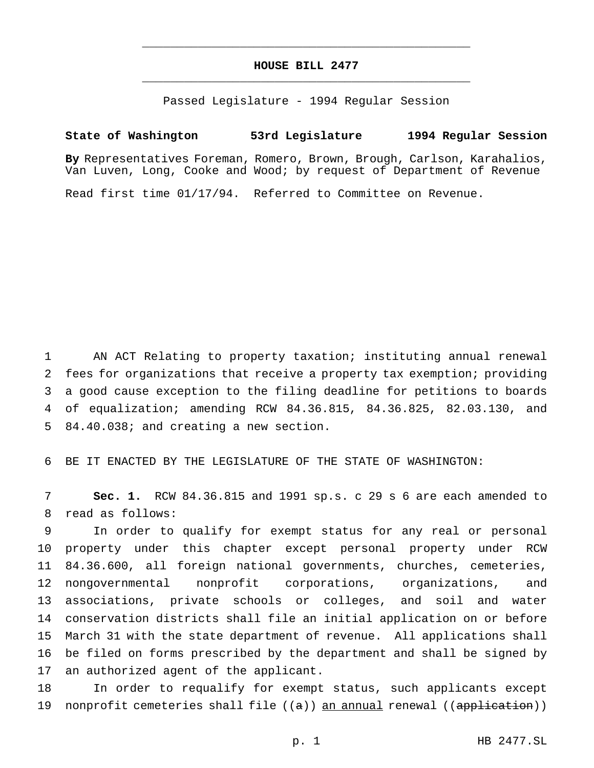# **HOUSE BILL 2477** \_\_\_\_\_\_\_\_\_\_\_\_\_\_\_\_\_\_\_\_\_\_\_\_\_\_\_\_\_\_\_\_\_\_\_\_\_\_\_\_\_\_\_\_\_\_\_

\_\_\_\_\_\_\_\_\_\_\_\_\_\_\_\_\_\_\_\_\_\_\_\_\_\_\_\_\_\_\_\_\_\_\_\_\_\_\_\_\_\_\_\_\_\_\_

Passed Legislature - 1994 Regular Session

## **State of Washington 53rd Legislature 1994 Regular Session**

**By** Representatives Foreman, Romero, Brown, Brough, Carlson, Karahalios, Van Luven, Long, Cooke and Wood; by request of Department of Revenue

Read first time 01/17/94. Referred to Committee on Revenue.

 AN ACT Relating to property taxation; instituting annual renewal fees for organizations that receive a property tax exemption; providing a good cause exception to the filing deadline for petitions to boards of equalization; amending RCW 84.36.815, 84.36.825, 82.03.130, and 84.40.038; and creating a new section.

BE IT ENACTED BY THE LEGISLATURE OF THE STATE OF WASHINGTON:

 **Sec. 1.** RCW 84.36.815 and 1991 sp.s. c 29 s 6 are each amended to read as follows:

 In order to qualify for exempt status for any real or personal property under this chapter except personal property under RCW 84.36.600, all foreign national governments, churches, cemeteries, nongovernmental nonprofit corporations, organizations, and associations, private schools or colleges, and soil and water conservation districts shall file an initial application on or before March 31 with the state department of revenue. All applications shall be filed on forms prescribed by the department and shall be signed by an authorized agent of the applicant.

 In order to requalify for exempt status, such applicants except 19 nonprofit cemeteries shall file ((a)) an annual renewal ((application))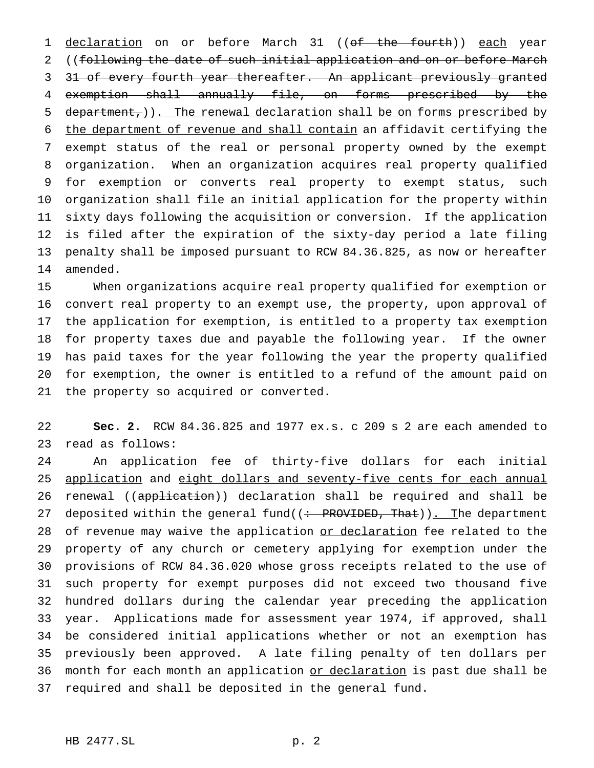1 declaration on or before March 31 ((of the fourth)) each year ((following the date of such initial application and on or before March 3 31 of every fourth year thereafter. An applicant previously granted exemption shall annually file, on forms prescribed by the 5 department, )). The renewal declaration shall be on forms prescribed by the department of revenue and shall contain an affidavit certifying the exempt status of the real or personal property owned by the exempt organization. When an organization acquires real property qualified for exemption or converts real property to exempt status, such organization shall file an initial application for the property within sixty days following the acquisition or conversion. If the application is filed after the expiration of the sixty-day period a late filing penalty shall be imposed pursuant to RCW 84.36.825, as now or hereafter amended.

 When organizations acquire real property qualified for exemption or convert real property to an exempt use, the property, upon approval of the application for exemption, is entitled to a property tax exemption for property taxes due and payable the following year. If the owner has paid taxes for the year following the year the property qualified for exemption, the owner is entitled to a refund of the amount paid on the property so acquired or converted.

 **Sec. 2.** RCW 84.36.825 and 1977 ex.s. c 209 s 2 are each amended to read as follows:

 An application fee of thirty-five dollars for each initial 25 application and eight dollars and seventy-five cents for each annual 26 renewal ((application)) declaration shall be required and shall be 27 deposited within the general fund((: PROVIDED, That)). The department 28 of revenue may waive the application or declaration fee related to the property of any church or cemetery applying for exemption under the provisions of RCW 84.36.020 whose gross receipts related to the use of such property for exempt purposes did not exceed two thousand five hundred dollars during the calendar year preceding the application year. Applications made for assessment year 1974, if approved, shall be considered initial applications whether or not an exemption has previously been approved. A late filing penalty of ten dollars per 36 month for each month an application or declaration is past due shall be required and shall be deposited in the general fund.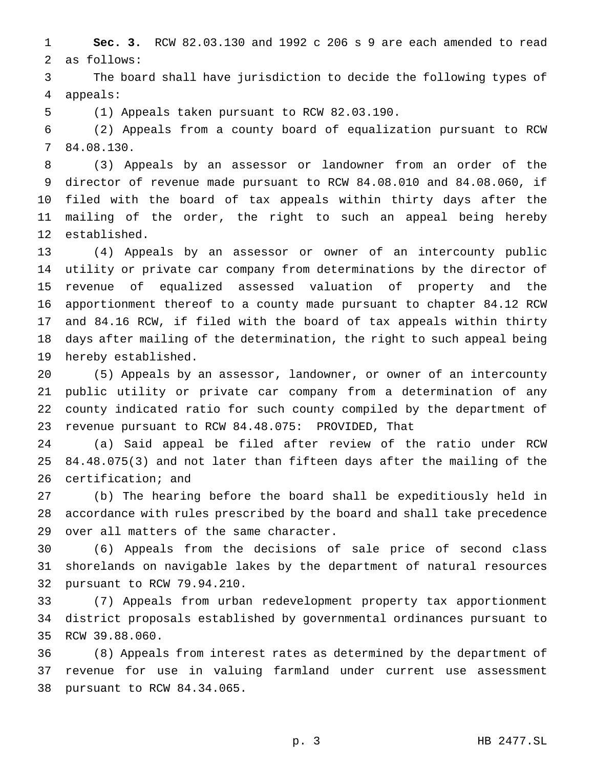**Sec. 3.** RCW 82.03.130 and 1992 c 206 s 9 are each amended to read as follows:

 The board shall have jurisdiction to decide the following types of appeals:

(1) Appeals taken pursuant to RCW 82.03.190.

 (2) Appeals from a county board of equalization pursuant to RCW 84.08.130.

 (3) Appeals by an assessor or landowner from an order of the director of revenue made pursuant to RCW 84.08.010 and 84.08.060, if filed with the board of tax appeals within thirty days after the mailing of the order, the right to such an appeal being hereby established.

 (4) Appeals by an assessor or owner of an intercounty public utility or private car company from determinations by the director of revenue of equalized assessed valuation of property and the apportionment thereof to a county made pursuant to chapter 84.12 RCW and 84.16 RCW, if filed with the board of tax appeals within thirty days after mailing of the determination, the right to such appeal being hereby established.

 (5) Appeals by an assessor, landowner, or owner of an intercounty public utility or private car company from a determination of any county indicated ratio for such county compiled by the department of revenue pursuant to RCW 84.48.075: PROVIDED, That

 (a) Said appeal be filed after review of the ratio under RCW 84.48.075(3) and not later than fifteen days after the mailing of the certification; and

 (b) The hearing before the board shall be expeditiously held in accordance with rules prescribed by the board and shall take precedence over all matters of the same character.

 (6) Appeals from the decisions of sale price of second class shorelands on navigable lakes by the department of natural resources pursuant to RCW 79.94.210.

 (7) Appeals from urban redevelopment property tax apportionment district proposals established by governmental ordinances pursuant to RCW 39.88.060.

 (8) Appeals from interest rates as determined by the department of revenue for use in valuing farmland under current use assessment pursuant to RCW 84.34.065.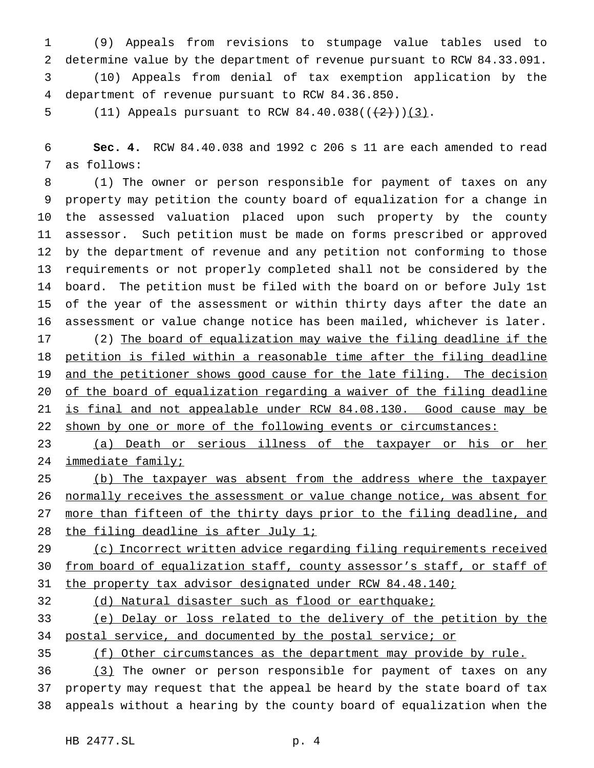(9) Appeals from revisions to stumpage value tables used to determine value by the department of revenue pursuant to RCW 84.33.091. (10) Appeals from denial of tax exemption application by the department of revenue pursuant to RCW 84.36.850.

5 (11) Appeals pursuant to RCW  $84.40.038((\frac{2}{2}))(3)$ .

 **Sec. 4.** RCW 84.40.038 and 1992 c 206 s 11 are each amended to read as follows:

 (1) The owner or person responsible for payment of taxes on any property may petition the county board of equalization for a change in the assessed valuation placed upon such property by the county assessor. Such petition must be made on forms prescribed or approved by the department of revenue and any petition not conforming to those requirements or not properly completed shall not be considered by the board. The petition must be filed with the board on or before July 1st of the year of the assessment or within thirty days after the date an assessment or value change notice has been mailed, whichever is later. (2) The board of equalization may waive the filing deadline if the petition is filed within a reasonable time after the filing deadline and the petitioner shows good cause for the late filing. The decision

 of the board of equalization regarding a waiver of the filing deadline 21 is final and not appealable under RCW 84.08.130. Good cause may be 22 shown by one or more of the following events or circumstances:

 (a) Death or serious illness of the taxpayer or his or her 24 immediate family;

 (b) The taxpayer was absent from the address where the taxpayer normally receives the assessment or value change notice, was absent for 27 more than fifteen of the thirty days prior to the filing deadline, and 28 the filing deadline is after July 1;

29 (c) Incorrect written advice regarding filing requirements received 30 from board of equalization staff, county assessor's staff, or staff of 31 the property tax advisor designated under RCW 84.48.140;

(d) Natural disaster such as flood or earthquake;

 (e) Delay or loss related to the delivery of the petition by the postal service, and documented by the postal service; or

(f) Other circumstances as the department may provide by rule.

36 (3) The owner or person responsible for payment of taxes on any property may request that the appeal be heard by the state board of tax appeals without a hearing by the county board of equalization when the